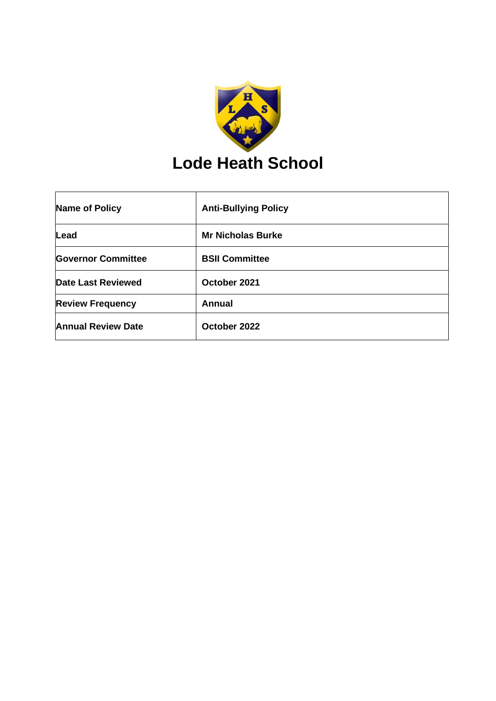

| <b>Name of Policy</b>     | <b>Anti-Bullying Policy</b> |
|---------------------------|-----------------------------|
| Lead                      | <b>Mr Nicholas Burke</b>    |
| <b>Governor Committee</b> | <b>BSII Committee</b>       |
| <b>Date Last Reviewed</b> | October 2021                |
| <b>Review Frequency</b>   | <b>Annual</b>               |
| <b>Annual Review Date</b> | October 2022                |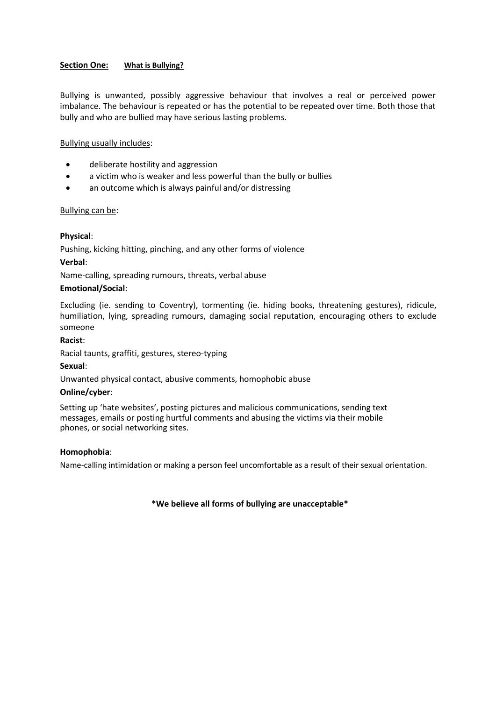# **Section One: What is Bullying?**

Bullying is unwanted, possibly aggressive behaviour that involves a real or perceived power imbalance. The behaviour is repeated or has the potential to be repeated over time. Both those that bully and who are bullied may have serious lasting problems.

## Bullying usually includes:

- deliberate hostility and aggression
- a victim who is weaker and less powerful than the bully or bullies
- an outcome which is always painful and/or distressing

## Bullying can be:

# **Physical**:

Pushing, kicking hitting, pinching, and any other forms of violence

## **Verbal**:

Name-calling, spreading rumours, threats, verbal abuse

## **Emotional/Social**:

Excluding (ie. sending to Coventry), tormenting (ie. hiding books, threatening gestures), ridicule, humiliation, lying, spreading rumours, damaging social reputation, encouraging others to exclude someone

#### **Racist**:

Racial taunts, graffiti, gestures, stereo-typing

## **Sexual**:

Unwanted physical contact, abusive comments, homophobic abuse

## **Online/cyber**:

Setting up 'hate websites', posting pictures and malicious communications, sending text messages, emails or posting hurtful comments and abusing the victims via their mobile phones, or social networking sites.

## **Homophobia**:

Name-calling intimidation or making a person feel uncomfortable as a result of their sexual orientation.

## **\*We believe all forms of bullying are unacceptable\***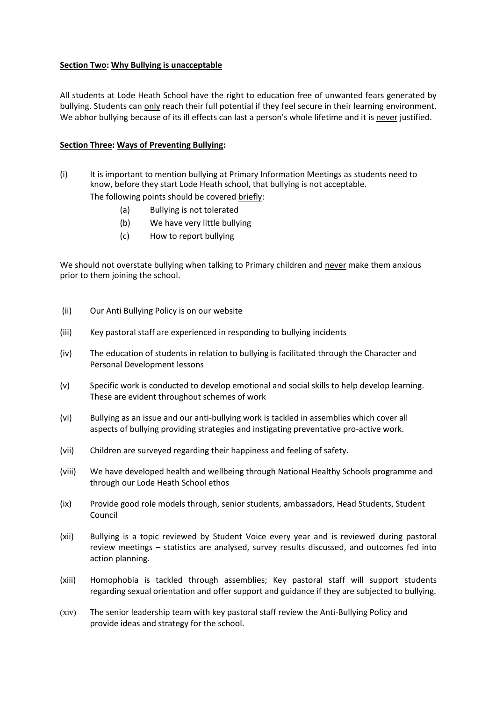# **Section Two: Why Bullying is unacceptable**

All students at Lode Heath School have the right to education free of unwanted fears generated by bullying. Students can only reach their full potential if they feel secure in their learning environment. We abhor bullying because of its ill effects can last a person's whole lifetime and it is never justified.

# **Section Three: Ways of Preventing Bullying:**

(i) It is important to mention bullying at Primary Information Meetings as students need to know, before they start Lode Heath school, that bullying is not acceptable.

The following points should be covered briefly:

- (a) Bullying is not tolerated
- (b) We have very little bullying
- (c) How to report bullying

We should not overstate bullying when talking to Primary children and never make them anxious prior to them joining the school.

- (ii) Our Anti Bullying Policy is on our website
- (iii) Key pastoral staff are experienced in responding to bullying incidents
- (iv) The education of students in relation to bullying is facilitated through the Character and Personal Development lessons
- (v) Specific work is conducted to develop emotional and social skills to help develop learning. These are evident throughout schemes of work
- (vi) Bullying as an issue and our anti-bullying work is tackled in assemblies which cover all aspects of bullying providing strategies and instigating preventative pro-active work.
- (vii) Children are surveyed regarding their happiness and feeling of safety.
- (viii) We have developed health and wellbeing through National Healthy Schools programme and through our Lode Heath School ethos
- (ix) Provide good role models through, senior students, ambassadors, Head Students, Student Council
- (xii) Bullying is a topic reviewed by Student Voice every year and is reviewed during pastoral review meetings – statistics are analysed, survey results discussed, and outcomes fed into action planning.
- (xiii) Homophobia is tackled through assemblies; Key pastoral staff will support students regarding sexual orientation and offer support and guidance if they are subjected to bullying.
- (xiv) The senior leadership team with key pastoral staff review the Anti-Bullying Policy and provide ideas and strategy for the school.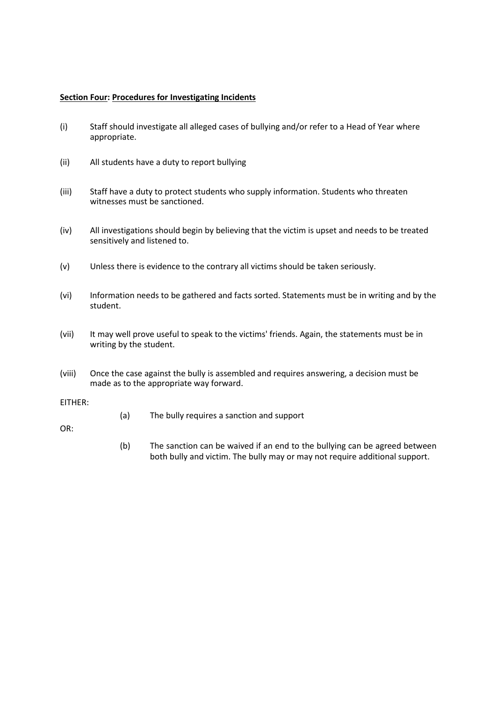## **Section Four: Procedures for Investigating Incidents**

- (i) Staff should investigate all alleged cases of bullying and/or refer to a Head of Year where appropriate.
- (ii) All students have a duty to report bullying
- (iii) Staff have a duty to protect students who supply information. Students who threaten witnesses must be sanctioned.
- (iv) All investigations should begin by believing that the victim is upset and needs to be treated sensitively and listened to.
- (v) Unless there is evidence to the contrary all victims should be taken seriously.
- (vi) Information needs to be gathered and facts sorted. Statements must be in writing and by the student.
- (vii) It may well prove useful to speak to the victims' friends. Again, the statements must be in writing by the student.
- (viii) Once the case against the bully is assembled and requires answering, a decision must be made as to the appropriate way forward.

#### EITHER:

(a) The bully requires a sanction and support

OR:

(b) The sanction can be waived if an end to the bullying can be agreed between both bully and victim. The bully may or may not require additional support.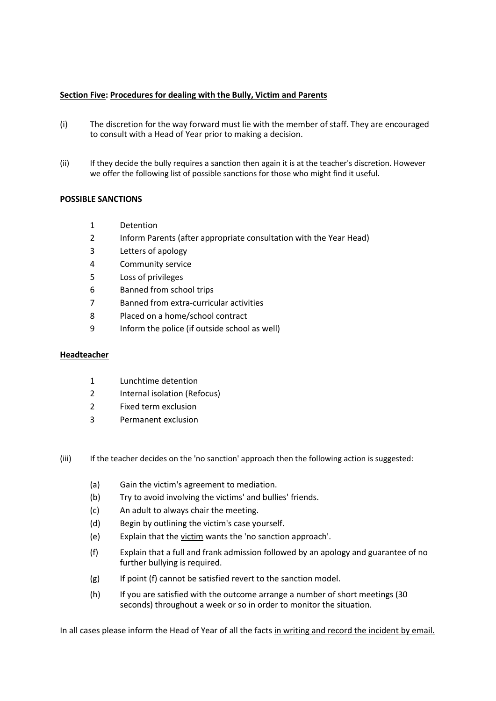## **Section Five: Procedures for dealing with the Bully, Victim and Parents**

- (i) The discretion for the way forward must lie with the member of staff. They are encouraged to consult with a Head of Year prior to making a decision.
- (ii) If they decide the bully requires a sanction then again it is at the teacher's discretion. However we offer the following list of possible sanctions for those who might find it useful.

# **POSSIBLE SANCTIONS**

- 1 Detention
- 2 Inform Parents (after appropriate consultation with the Year Head)
- 3 Letters of apology
- 4 Community service
- 5 Loss of privileges
- 6 Banned from school trips
- 7 Banned from extra-curricular activities
- 8 Placed on a home/school contract
- 9 Inform the police (if outside school as well)

## **Headteacher**

- 1 Lunchtime detention
- 2 Internal isolation (Refocus)
- 2 Fixed term exclusion
- 3 Permanent exclusion
- (iii) If the teacher decides on the 'no sanction' approach then the following action is suggested:
	- (a) Gain the victim's agreement to mediation.
	- (b) Try to avoid involving the victims' and bullies' friends.
	- (c) An adult to always chair the meeting.
	- (d) Begin by outlining the victim's case yourself.
	- (e) Explain that the victim wants the 'no sanction approach'.
	- (f) Explain that a full and frank admission followed by an apology and guarantee of no further bullying is required.
	- (g) If point (f) cannot be satisfied revert to the sanction model.
	- (h) If you are satisfied with the outcome arrange a number of short meetings (30 seconds) throughout a week or so in order to monitor the situation.

In all cases please inform the Head of Year of all the facts in writing and record the incident by email.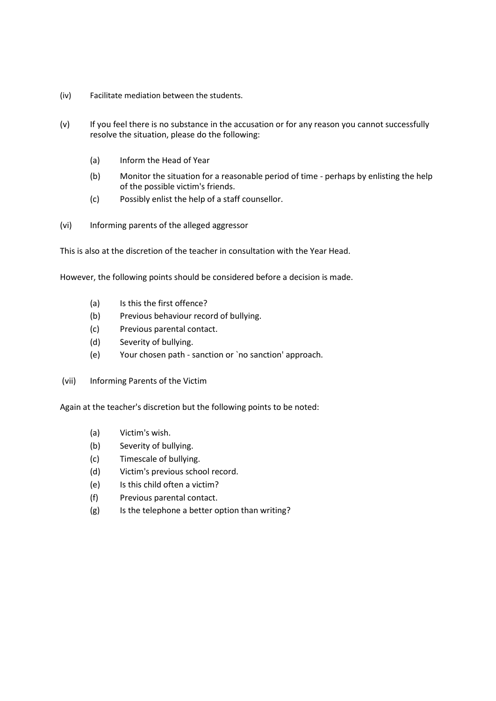- (iv) Facilitate mediation between the students.
- (v) If you feel there is no substance in the accusation or for any reason you cannot successfully resolve the situation, please do the following:
	- (a) Inform the Head of Year
	- (b) Monitor the situation for a reasonable period of time perhaps by enlisting the help of the possible victim's friends.
	- (c) Possibly enlist the help of a staff counsellor.
- (vi) Informing parents of the alleged aggressor

This is also at the discretion of the teacher in consultation with the Year Head.

However, the following points should be considered before a decision is made.

- (a) Is this the first offence?
- (b) Previous behaviour record of bullying.
- (c) Previous parental contact.
- (d) Severity of bullying.
- (e) Your chosen path sanction or `no sanction' approach.
- (vii) Informing Parents of the Victim

Again at the teacher's discretion but the following points to be noted:

- (a) Victim's wish.
- (b) Severity of bullying.
- (c) Timescale of bullying.
- (d) Victim's previous school record.
- (e) Is this child often a victim?
- (f) Previous parental contact.
- (g) Is the telephone a better option than writing?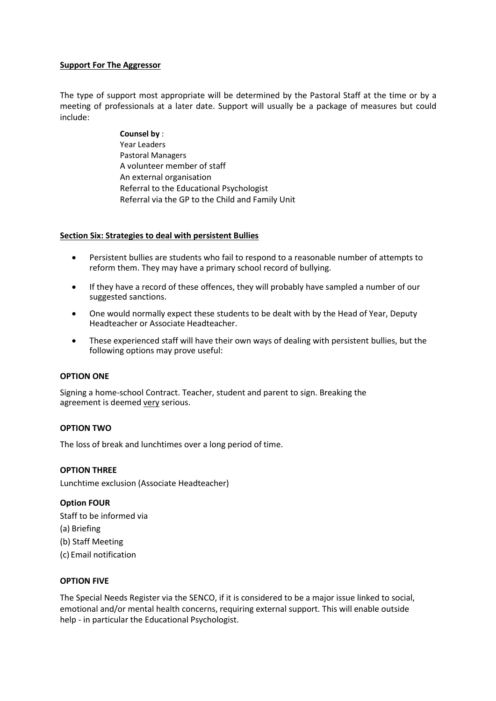# **Support For The Aggressor**

The type of support most appropriate will be determined by the Pastoral Staff at the time or by a meeting of professionals at a later date. Support will usually be a package of measures but could include:

> **Counsel by** : Year Leaders Pastoral Managers A volunteer member of staff An external organisation Referral to the Educational Psychologist Referral via the GP to the Child and Family Unit

## **Section Six: Strategies to deal with persistent Bullies**

- Persistent bullies are students who fail to respond to a reasonable number of attempts to reform them. They may have a primary school record of bullying.
- If they have a record of these offences, they will probably have sampled a number of our suggested sanctions.
- One would normally expect these students to be dealt with by the Head of Year, Deputy Headteacher or Associate Headteacher.
- These experienced staff will have their own ways of dealing with persistent bullies, but the following options may prove useful:

## **OPTION ONE**

Signing a home-school Contract. Teacher, student and parent to sign. Breaking the agreement is deemed very serious.

## **OPTION TWO**

The loss of break and lunchtimes over a long period of time.

## **OPTION THREE**

Lunchtime exclusion (Associate Headteacher)

## **Option FOUR**

Staff to be informed via (a) Briefing (b) Staff Meeting (c) Email notification

# **OPTION FIVE**

The Special Needs Register via the SENCO, if it is considered to be a major issue linked to social, emotional and/or mental health concerns, requiring external support. This will enable outside help - in particular the Educational Psychologist.